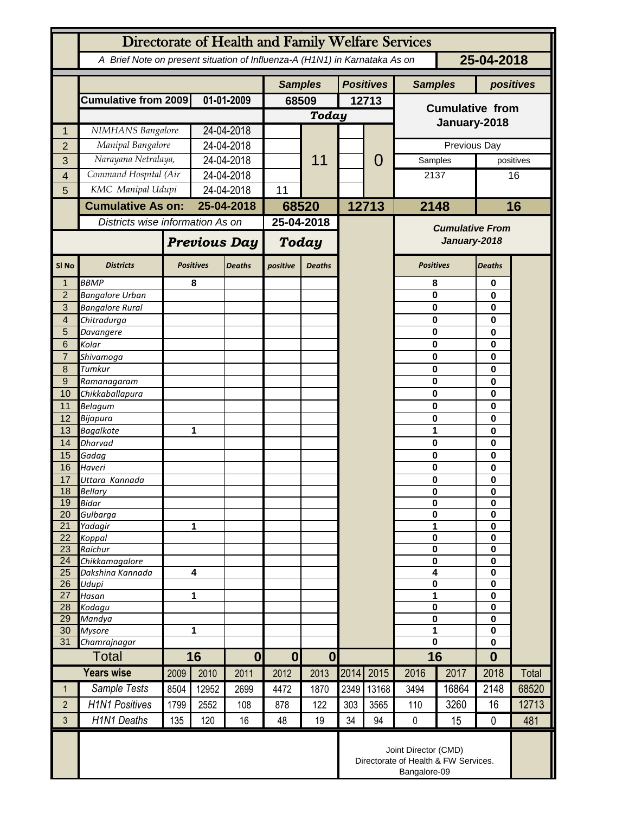| Directorate of Health and Family Welfare Services |                                                                                          |                          |                  |                     |                  |                  |       |                                        |                        |          |                            |           |  |
|---------------------------------------------------|------------------------------------------------------------------------------------------|--------------------------|------------------|---------------------|------------------|------------------|-------|----------------------------------------|------------------------|----------|----------------------------|-----------|--|
|                                                   | 25-04-2018<br>A Brief Note on present situation of Influenza-A (H1N1) in Karnataka As on |                          |                  |                     |                  |                  |       |                                        |                        |          |                            |           |  |
|                                                   |                                                                                          |                          |                  | <b>Samples</b>      |                  | <b>Positives</b> |       | <b>Samples</b>                         |                        |          | positives                  |           |  |
|                                                   | <b>Cumulative from 2009</b>                                                              |                          | 01-01-2009       |                     | 68509            |                  | 12713 |                                        | <b>Cumulative from</b> |          |                            |           |  |
|                                                   |                                                                                          |                          |                  |                     | Today            |                  |       |                                        |                        |          |                            |           |  |
| 1                                                 | NIMHANS Bangalore                                                                        |                          | 24-04-2018       |                     |                  |                  |       |                                        | January-2018           |          |                            |           |  |
| $\overline{2}$                                    | Manipal Bangalore                                                                        |                          | 24-04-2018       |                     |                  |                  |       | 0                                      | Previous Day           |          |                            |           |  |
| 3                                                 | Narayana Netralaya,                                                                      |                          | 24-04-2018       |                     |                  | 11               |       |                                        |                        | Samples  |                            | positives |  |
| 4                                                 | Command Hospital (Air                                                                    |                          |                  | 24-04-2018          |                  |                  |       |                                        | 2137                   |          |                            | 16        |  |
| 5                                                 | KMC Manipal Udupi                                                                        |                          | 24-04-2018       |                     | 11               |                  |       |                                        |                        |          |                            |           |  |
|                                                   |                                                                                          | <b>Cumulative As on:</b> |                  | 25-04-2018          |                  | 68520            |       | 12713                                  | 2148                   |          | 16                         |           |  |
|                                                   | Districts wise information As on                                                         |                          |                  | 25-04-2018          |                  |                  |       | <b>Cumulative From</b><br>January-2018 |                        |          |                            |           |  |
|                                                   |                                                                                          |                          |                  | <b>Previous Day</b> |                  | Today            |       |                                        |                        |          |                            |           |  |
| SI <sub>No</sub>                                  | <b>Districts</b>                                                                         |                          | <b>Positives</b> | <b>Deaths</b>       | positive         | <b>Deaths</b>    |       |                                        | <b>Positives</b>       |          | Deaths                     |           |  |
| $\mathbf{1}$                                      | <b>BBMP</b>                                                                              |                          | 8                |                     |                  |                  |       |                                        | 8                      |          | 0                          |           |  |
| $\overline{2}$<br>$\overline{3}$                  | <b>Bangalore Urban</b><br><b>Bangalore Rural</b>                                         |                          |                  |                     |                  |                  |       |                                        | 0<br>0                 |          | 0<br>0<br>0                |           |  |
| $\overline{4}$                                    | Chitradurga                                                                              |                          |                  |                     |                  |                  |       |                                        | 0                      |          |                            |           |  |
| 5                                                 | Davangere                                                                                |                          |                  |                     |                  |                  |       |                                        | 0                      |          | 0                          |           |  |
| 6                                                 | Kolar                                                                                    |                          |                  |                     |                  |                  |       |                                        | 0                      |          | 0                          |           |  |
| $\overline{7}$                                    | Shivamoga                                                                                |                          |                  |                     |                  |                  |       |                                        | 0                      |          | 0                          |           |  |
| 8                                                 | Tumkur                                                                                   |                          |                  |                     |                  |                  |       |                                        | 0                      |          | 0                          |           |  |
| $\overline{9}$<br>10                              | Ramanagaram<br>Chikkaballapura                                                           |                          |                  |                     |                  |                  |       |                                        | 0<br>0                 |          | 0<br>0                     |           |  |
| 11                                                | Belagum                                                                                  |                          |                  |                     |                  |                  |       |                                        | 0                      |          | 0                          |           |  |
| 12                                                | Bijapura                                                                                 |                          |                  |                     |                  |                  |       |                                        | 0                      |          | 0                          |           |  |
| 13                                                | <b>Bagalkote</b>                                                                         |                          |                  | 1                   |                  |                  |       |                                        | 1                      |          | 0                          |           |  |
| 14                                                | <b>Dharvad</b>                                                                           |                          |                  |                     |                  |                  |       |                                        | 0                      |          | 0                          |           |  |
| 15                                                | Gadag                                                                                    |                          |                  |                     |                  |                  |       |                                        |                        | $\bf{0}$ |                            |           |  |
| 16<br>17                                          | Haveri<br>Uttara Kannada                                                                 |                          |                  |                     |                  |                  |       |                                        | 0<br>$\bf{0}$          |          | $\mathbf 0$<br>$\bf{0}$    |           |  |
| 18                                                | Bellary                                                                                  |                          |                  |                     |                  |                  |       |                                        | 0                      |          | $\mathbf 0$                |           |  |
| 19                                                | <b>Bidar</b>                                                                             |                          |                  |                     |                  |                  |       |                                        | 0                      |          | $\mathbf 0$                |           |  |
| 20                                                | Gulbarga                                                                                 |                          |                  |                     |                  |                  |       |                                        | 0                      |          | $\bf{0}$                   |           |  |
| 21                                                | Yadagir                                                                                  |                          | 1                |                     |                  |                  |       |                                        | 1                      |          | $\bf{0}$                   |           |  |
| 22<br>23                                          | Koppal<br>Raichur                                                                        |                          |                  |                     |                  |                  |       |                                        | 0<br>0                 |          | $\mathbf 0$<br>$\mathbf 0$ |           |  |
| 24                                                | Chikkamagalore                                                                           |                          |                  |                     |                  |                  |       |                                        | 0                      |          | 0                          |           |  |
| 25                                                | Dakshina Kannada                                                                         | $\overline{\mathbf{4}}$  |                  |                     |                  |                  |       |                                        | 4                      |          | $\mathbf 0$                |           |  |
| 26                                                | Udupi                                                                                    | 1                        |                  |                     |                  |                  |       |                                        | $\pmb{0}$<br>1         |          | $\mathbf 0$                |           |  |
| 27<br>28                                          | Hasan<br>Kodagu                                                                          |                          |                  |                     |                  |                  |       |                                        | 0                      |          | $\mathbf 0$<br>$\bf{0}$    |           |  |
| 29                                                | Mandya                                                                                   |                          |                  |                     |                  |                  |       |                                        | 0                      |          | 0                          |           |  |
| 30                                                | <b>Mysore</b>                                                                            | 1                        |                  |                     |                  |                  |       |                                        | 1                      |          | $\mathbf 0$                |           |  |
| 31                                                | Chamrajnagar                                                                             |                          |                  |                     |                  |                  |       |                                        | $\mathbf 0$            |          | $\mathbf 0$                |           |  |
| <b>Total</b>                                      |                                                                                          |                          | 16               | $\boldsymbol{0}$    | $\boldsymbol{0}$ | $\boldsymbol{0}$ |       |                                        | 16                     |          | $\bf{0}$                   |           |  |
|                                                   | <b>Years wise</b>                                                                        | 2009                     | 2010             | 2011                | 2012             | 2013             | 2014  | 2015                                   | 2016                   | 2017     | 2018                       | Total     |  |
| $\mathbf{1}$                                      | Sample Tests                                                                             | 8504                     | 12952            | 2699                | 4472             | 1870             | 2349  | 13168                                  | 3494                   | 16864    | 2148                       | 68520     |  |
| $\overline{2}$                                    | <b>H1N1 Positives</b>                                                                    | 1799                     | 2552             | 108                 | 878              | 122              | 303   | 3565                                   | 110                    | 3260     | 16                         | 12713     |  |
| 3                                                 | <b>H1N1 Deaths</b>                                                                       | 135                      | 120              | 16                  | 48               | 19               | 34    | 94                                     | $\pmb{0}$              | 15       | $\mathbf 0$                | 481       |  |
|                                                   | Joint Director (CMD)<br>Directorate of Health & FW Services.<br>Bangalore-09             |                          |                  |                     |                  |                  |       |                                        |                        |          |                            |           |  |